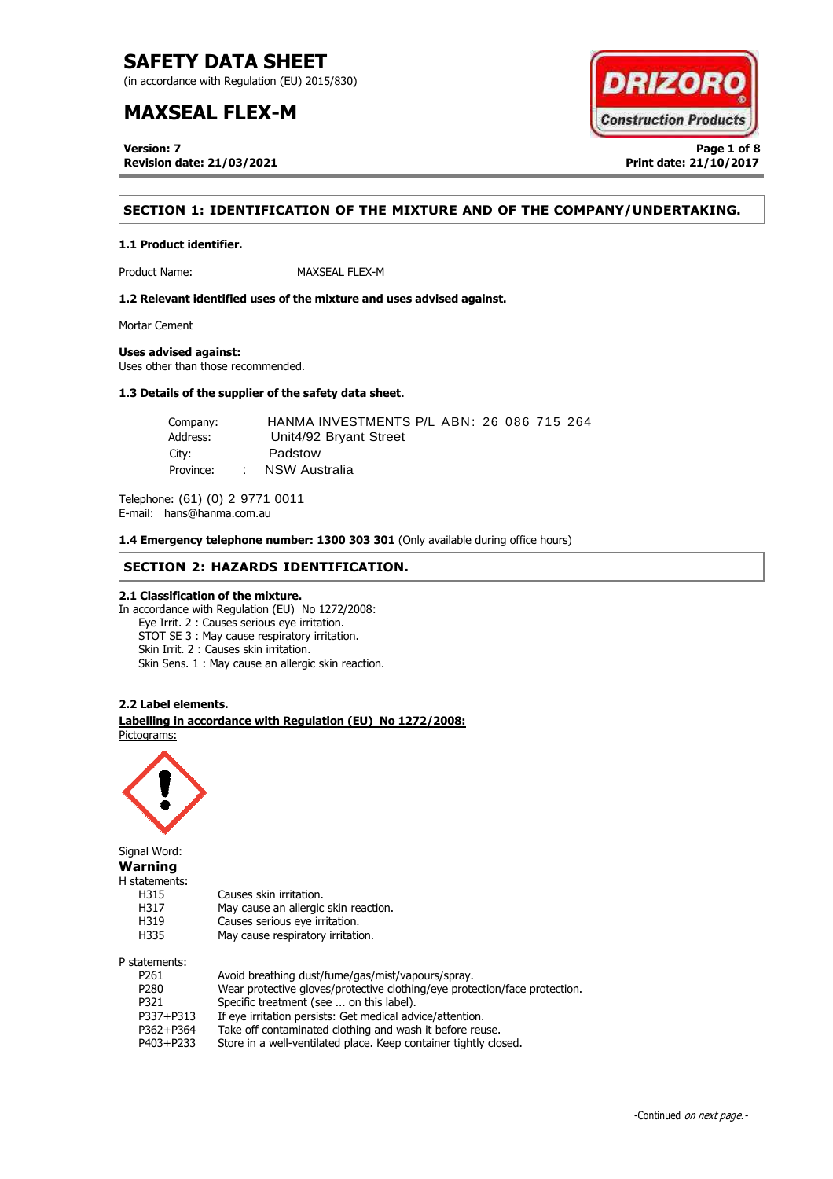(in accordance with Regulation (EU) 2015/830)

# **MAXSEAL FLEX-M**

**Version: 7 Page 1 of 8 Revision date: 21/03/2021 Print date: 21/10/2017**



# **SECTION 1: IDENTIFICATION OF THE MIXTURE AND OF THE COMPANY/UNDERTAKING.**

### **1.1 Product identifier.**

Product Name: MAXSEAL FLEX-M

**1.2 Relevant identified uses of the mixture and uses advised against.**

Mortar Cement

### **Uses advised against:**

Uses other than those recommended.

### **1.3 Details of the supplier of the safety data sheet.**

| Company:  |                 | HANMA INVESTMENTS P/L ABN: 26 086 715 264 |
|-----------|-----------------|-------------------------------------------|
| Address:  |                 | Unit4/92 Bryant Street                    |
| City:     |                 | Padstow                                   |
| Province: | <b>Contract</b> | NSW Australia                             |

Telephone: (61) (0) 2 9771 0011 E-mail: hans@hanma.com.au

**1.4 Emergency telephone number: 1300 303 301** (Only available during office hours)

### **SECTION 2: HAZARDS IDENTIFICATION.**

### **2.1 Classification of the mixture.**

In accordance with Regulation (EU) No 1272/2008: Eye Irrit. 2 : Causes serious eye irritation. STOT SE 3 : May cause respiratory irritation. Skin Irrit. 2 : Causes skin irritation. Skin Sens. 1 : May cause an allergic skin reaction.

### **2.2 Label elements.**

. **Labelling in accordance with Regulation (EU) No 1272/2008:** Pictograms:

May cause an allergic skin reaction.



Signal Word: **Warning** H statements: H315 Causes skin irritation.<br>H317 May cause an allergic H319 Causes serious eye irritation. H335 May cause respiratory irritation. P statements:

| P261             | Avoid breathing dust/fume/gas/mist/vapours/spray.                          |
|------------------|----------------------------------------------------------------------------|
| P <sub>280</sub> | Wear protective gloves/protective clothing/eye protection/face protection. |
| P321             | Specific treatment (see  on this label).                                   |
| P337+P313        | If eye irritation persists: Get medical advice/attention.                  |
| P362+P364        | Take off contaminated clothing and wash it before reuse.                   |
| P403+P233        | Store in a well-ventilated place. Keep container tightly closed.           |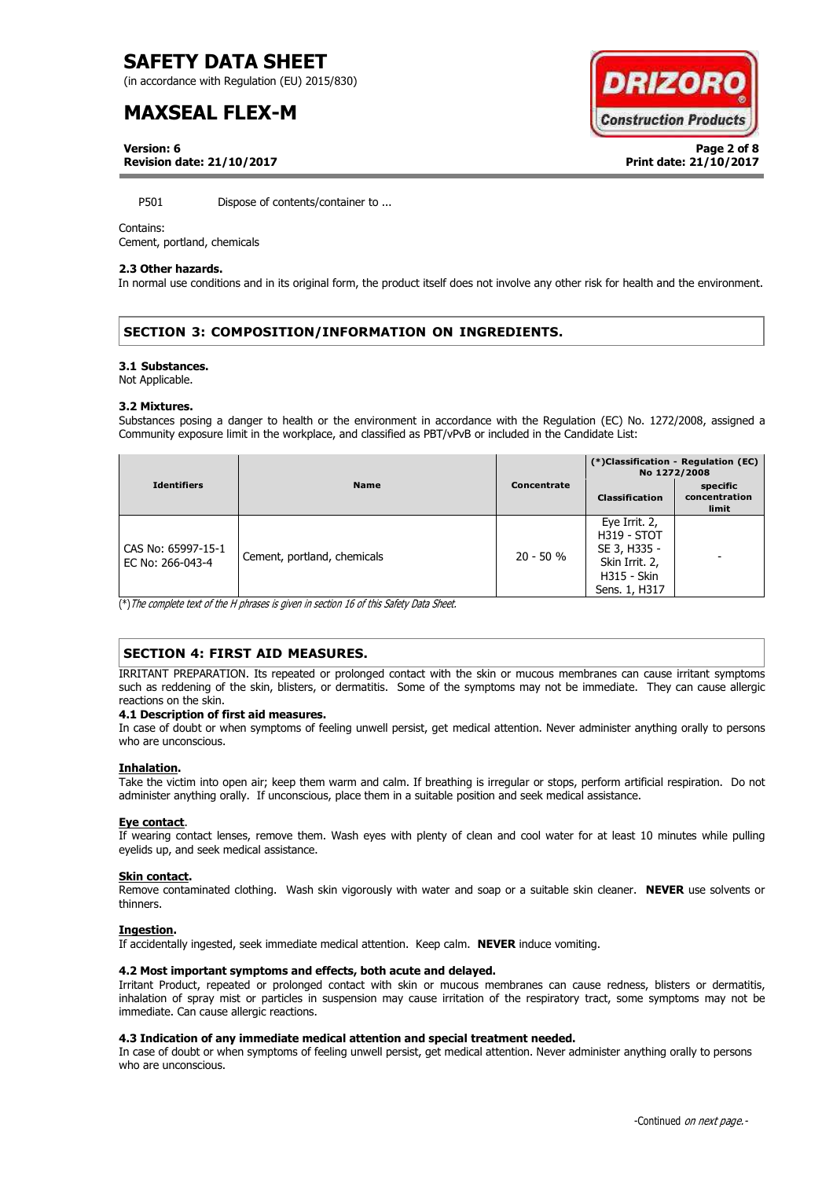(in accordance with Regulation (EU) 2015/830)

# **MAXSEAL FLEX-M**

**DRIZOR Construction Products** 

**Version: 6 Page 2 of 8 Revision date: 21/10/2017 Print date: 21/10/2017**

P501 Dispose of contents/container to ...

### Contains:

Cement, portland, chemicals

### **2.3 Other hazards.**

In normal use conditions and in its original form, the product itself does not involve any other risk for health and the environment.

# **SECTION 3: COMPOSITION/INFORMATION ON INGREDIENTS.**

### **3.1 Substances.**

Not Applicable.

### **3.2 Mixtures.**

Substances posing a danger to health or the environment in accordance with the Regulation (EC) No. 1272/2008, assigned a Community exposure limit in the workplace, and classified as PBT/vPvB or included in the Candidate List:

|                                        |                             |             | (*)Classification - Regulation (EC)<br>No 1272/2008                                                          |                                    |
|----------------------------------------|-----------------------------|-------------|--------------------------------------------------------------------------------------------------------------|------------------------------------|
| <b>Identifiers</b>                     | <b>Name</b>                 | Concentrate | <b>Classification</b>                                                                                        | specific<br>concentration<br>limit |
| CAS No: 65997-15-1<br>EC No: 266-043-4 | Cement, portland, chemicals | $20 - 50 %$ | Eye Irrit. 2,<br><b>H319 - STOT</b><br>SE 3, H335 -<br>Skin Irrit. 2,<br><b>H315 - Skin</b><br>Sens. 1, H317 |                                    |

(\*)The complete text of the H phrases is given in section 16 of this Safety Data Sheet.

# **SECTION 4: FIRST AID MEASURES.**

IRRITANT PREPARATION. Its repeated or prolonged contact with the skin or mucous membranes can cause irritant symptoms such as reddening of the skin, blisters, or dermatitis. Some of the symptoms may not be immediate. They can cause allergic reactions on the skin.

### **4.1 Description of first aid measures.**

In case of doubt or when symptoms of feeling unwell persist, get medical attention. Never administer anything orally to persons who are unconscious.

### **Inhalation.**

Take the victim into open air; keep them warm and calm. If breathing is irregular or stops, perform artificial respiration. Do not administer anything orally. If unconscious, place them in a suitable position and seek medical assistance.

### **Eye contact**.

If wearing contact lenses, remove them. Wash eyes with plenty of clean and cool water for at least 10 minutes while pulling eyelids up, and seek medical assistance.

### **Skin contact.**

Remove contaminated clothing. Wash skin vigorously with water and soap or a suitable skin cleaner. **NEVER** use solvents or thinners.

### **Ingestion.**

If accidentally ingested, seek immediate medical attention. Keep calm. **NEVER** induce vomiting.

### **4.2 Most important symptoms and effects, both acute and delayed.**

Irritant Product, repeated or prolonged contact with skin or mucous membranes can cause redness, blisters or dermatitis, inhalation of spray mist or particles in suspension may cause irritation of the respiratory tract, some symptoms may not be immediate. Can cause allergic reactions.

### **4.3 Indication of any immediate medical attention and special treatment needed.**

In case of doubt or when symptoms of feeling unwell persist, get medical attention. Never administer anything orally to persons who are unconscious.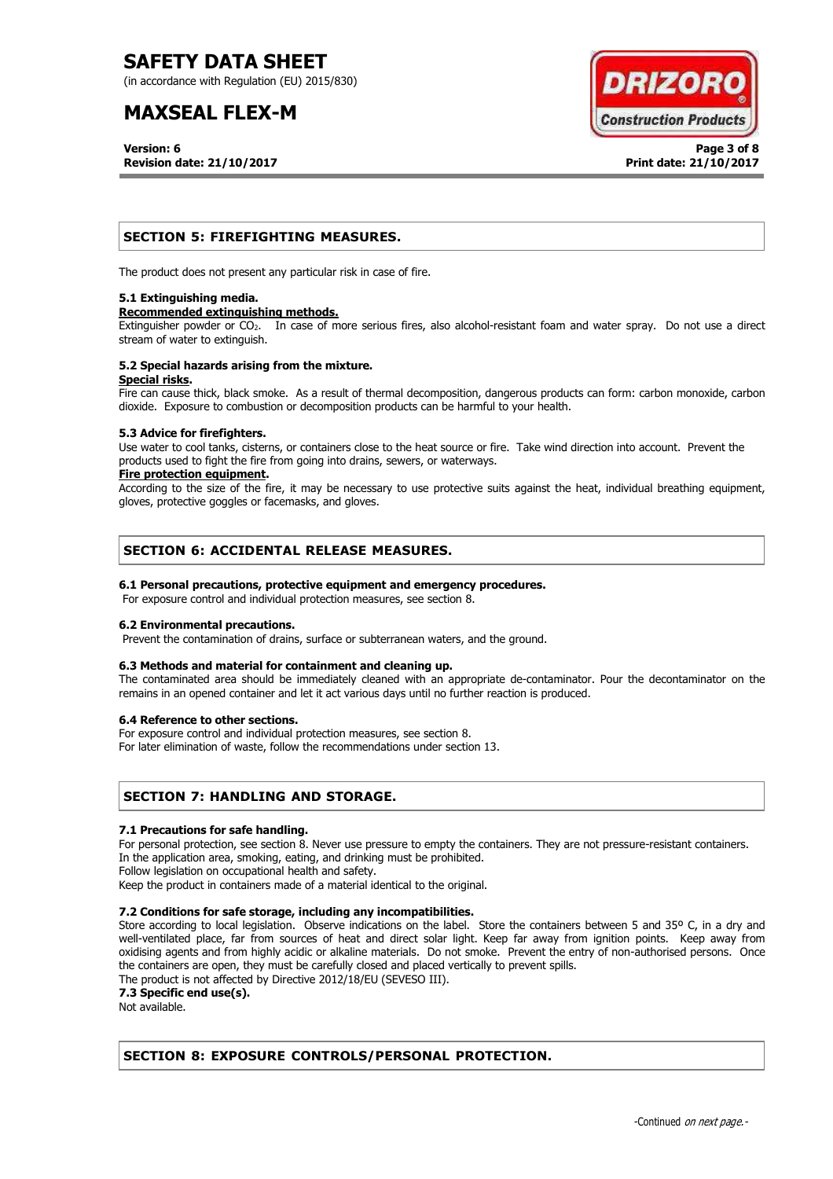(in accordance with Regulation (EU) 2015/830)

# **MAXSEAL FLEX-M**

**Version: 6 Page 3 of 8 Revision date: 21/10/2017 Print date: 21/10/2017**



# **SECTION 5: FIREFIGHTING MEASURES.**

The product does not present any particular risk in case of fire.

### **5.1 Extinguishing media.**

### **Recommended extinguishing methods.**

Extinguisher powder or CO<sub>2</sub>. In case of more serious fires, also alcohol-resistant foam and water spray. Do not use a direct stream of water to extinguish.

### **5.2 Special hazards arising from the mixture. Special risks.**

Fire can cause thick, black smoke. As a result of thermal decomposition, dangerous products can form: carbon monoxide, carbon dioxide. Exposure to combustion or decomposition products can be harmful to your health.

### **5.3 Advice for firefighters.**

Use water to cool tanks, cisterns, or containers close to the heat source or fire. Take wind direction into account. Prevent the products used to fight the fire from going into drains, sewers, or waterways.

### **Fire protection equipment.**

According to the size of the fire, it may be necessary to use protective suits against the heat, individual breathing equipment, gloves, protective goggles or facemasks, and gloves.

# **SECTION 6: ACCIDENTAL RELEASE MEASURES.**

### **6.1 Personal precautions, protective equipment and emergency procedures.**

For exposure control and individual protection measures, see section 8.

### **6.2 Environmental precautions.**

Prevent the contamination of drains, surface or subterranean waters, and the ground.

### **6.3 Methods and material for containment and cleaning up.**

The contaminated area should be immediately cleaned with an appropriate de-contaminator. Pour the decontaminator on the remains in an opened container and let it act various days until no further reaction is produced.

### **6.4 Reference to other sections.**

For exposure control and individual protection measures, see section 8. For later elimination of waste, follow the recommendations under section 13.

# **SECTION 7: HANDLING AND STORAGE.**

### **7.1 Precautions for safe handling.**

For personal protection, see section 8. Never use pressure to empty the containers. They are not pressure-resistant containers. In the application area, smoking, eating, and drinking must be prohibited.

Follow legislation on occupational health and safety.

Keep the product in containers made of a material identical to the original.

### **7.2 Conditions for safe storage, including any incompatibilities.**

Store according to local legislation. Observe indications on the label. Store the containers between 5 and 35° C, in a dry and well-ventilated place, far from sources of heat and direct solar light. Keep far away from ignition points. Keep away from oxidising agents and from highly acidic or alkaline materials. Do not smoke. Prevent the entry of non-authorised persons. Once the containers are open, they must be carefully closed and placed vertically to prevent spills.

The product is not affected by Directive 2012/18/EU (SEVESO III).

**7.3 Specific end use(s).**

Not available.

# **SECTION 8: EXPOSURE CONTROLS/PERSONAL PROTECTION.**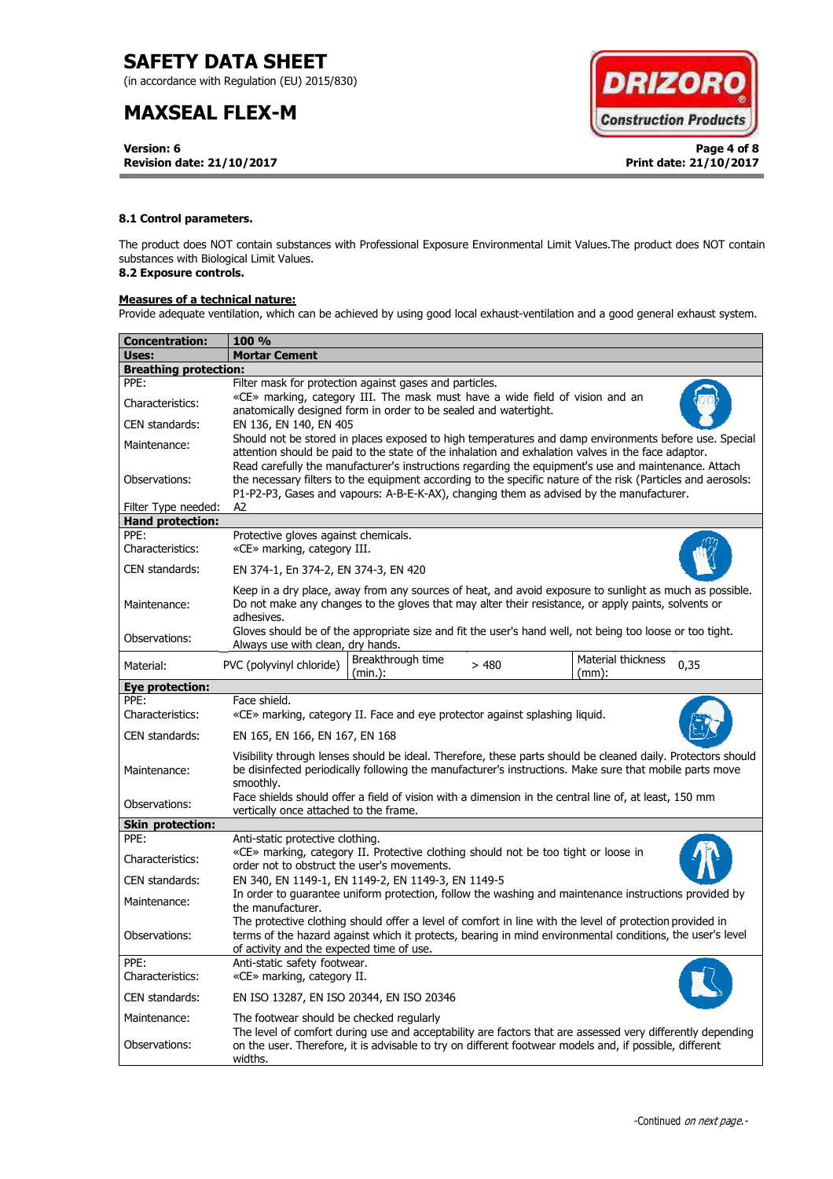(in accordance with Regulation (EU) 2015/830)

# **MAXSEAL FLEX-M**

**Version: 6 Page 4 of 8 Revision date: 21/10/2017 Print date: 21/10/2017**



### **8.1 Control parameters.**

The product does NOT contain substances with Professional Exposure Environmental Limit Values.The product does NOT contain substances with Biological Limit Values.

# **8.2 Exposure controls.**

### **Measures of a technical nature:**

Provide adequate ventilation, which can be achieved by using good local exhaust-ventilation and a good general exhaust system.

| Concentration:               | <b>100 %</b>                                                                                                                                                                                                                                                                                                    |  |  |  |  |
|------------------------------|-----------------------------------------------------------------------------------------------------------------------------------------------------------------------------------------------------------------------------------------------------------------------------------------------------------------|--|--|--|--|
| Uses:                        | <b>Mortar Cement</b>                                                                                                                                                                                                                                                                                            |  |  |  |  |
| <b>Breathing protection:</b> |                                                                                                                                                                                                                                                                                                                 |  |  |  |  |
| PPE:                         | Filter mask for protection against gases and particles.                                                                                                                                                                                                                                                         |  |  |  |  |
| Characteristics:             | «CE» marking, category III. The mask must have a wide field of vision and an<br>anatomically designed form in order to be sealed and watertight.                                                                                                                                                                |  |  |  |  |
| CEN standards:               | EN 136, EN 140, EN 405                                                                                                                                                                                                                                                                                          |  |  |  |  |
| Maintenance:                 | Should not be stored in places exposed to high temperatures and damp environments before use. Special<br>attention should be paid to the state of the inhalation and exhalation valves in the face adaptor.                                                                                                     |  |  |  |  |
| Observations:                | Read carefully the manufacturer's instructions regarding the equipment's use and maintenance. Attach<br>the necessary filters to the equipment according to the specific nature of the risk (Particles and aerosols:<br>P1-P2-P3, Gases and vapours: A-B-E-K-AX), changing them as advised by the manufacturer. |  |  |  |  |
| Filter Type needed:          | A2                                                                                                                                                                                                                                                                                                              |  |  |  |  |
| <b>Hand protection:</b>      |                                                                                                                                                                                                                                                                                                                 |  |  |  |  |
| PPE:<br>Characteristics:     | Protective gloves against chemicals.<br>«CE» marking, category III.                                                                                                                                                                                                                                             |  |  |  |  |
| CEN standards:               | EN 374-1, En 374-2, EN 374-3, EN 420                                                                                                                                                                                                                                                                            |  |  |  |  |
| Maintenance:                 | Keep in a dry place, away from any sources of heat, and avoid exposure to sunlight as much as possible.<br>Do not make any changes to the gloves that may alter their resistance, or apply paints, solvents or<br>adhesives.                                                                                    |  |  |  |  |
| Observations:                | Gloves should be of the appropriate size and fit the user's hand well, not being too loose or too tight.<br>Always use with clean, dry hands.                                                                                                                                                                   |  |  |  |  |
| Material:                    | Material thickness<br>Breakthrough time<br>PVC (polyvinyl chloride)<br>>480<br>0,35<br>(min.):<br>$(mm)$ :                                                                                                                                                                                                      |  |  |  |  |
| <b>Eye protection:</b>       |                                                                                                                                                                                                                                                                                                                 |  |  |  |  |
| PPE:<br>Characteristics:     | Face shield.<br>«CE» marking, category II. Face and eye protector against splashing liquid.                                                                                                                                                                                                                     |  |  |  |  |
| CEN standards:               | EN 165, EN 166, EN 167, EN 168                                                                                                                                                                                                                                                                                  |  |  |  |  |
| Maintenance:                 | Visibility through lenses should be ideal. Therefore, these parts should be cleaned daily. Protectors should<br>be disinfected periodically following the manufacturer's instructions. Make sure that mobile parts move<br>smoothly.                                                                            |  |  |  |  |
| Observations:                | Face shields should offer a field of vision with a dimension in the central line of, at least, 150 mm<br>vertically once attached to the frame.                                                                                                                                                                 |  |  |  |  |
| <b>Skin protection:</b>      |                                                                                                                                                                                                                                                                                                                 |  |  |  |  |
| PPE:                         | Anti-static protective clothing.                                                                                                                                                                                                                                                                                |  |  |  |  |
| Characteristics:             | «CE» marking, category II. Protective clothing should not be too tight or loose in<br>order not to obstruct the user's movements.                                                                                                                                                                               |  |  |  |  |
| CEN standards:               | EN 340, EN 1149-1, EN 1149-2, EN 1149-3, EN 1149-5                                                                                                                                                                                                                                                              |  |  |  |  |
| Maintenance:                 | In order to guarantee uniform protection, follow the washing and maintenance instructions provided by<br>the manufacturer.                                                                                                                                                                                      |  |  |  |  |
| Observations:                | The protective clothing should offer a level of comfort in line with the level of protection provided in<br>terms of the hazard against which it protects, bearing in mind environmental conditions, the user's level<br>of activity and the expected time of use.                                              |  |  |  |  |
| PPE:<br>Characteristics:     | Anti-static safety footwear.<br>«CE» marking, category II.                                                                                                                                                                                                                                                      |  |  |  |  |
| CEN standards:               | EN ISO 13287, EN ISO 20344, EN ISO 20346                                                                                                                                                                                                                                                                        |  |  |  |  |
| Maintenance:                 | The footwear should be checked regularly<br>The level of comfort during use and acceptability are factors that are assessed very differently depending                                                                                                                                                          |  |  |  |  |
| Observations:                | on the user. Therefore, it is advisable to try on different footwear models and, if possible, different<br>widths.                                                                                                                                                                                              |  |  |  |  |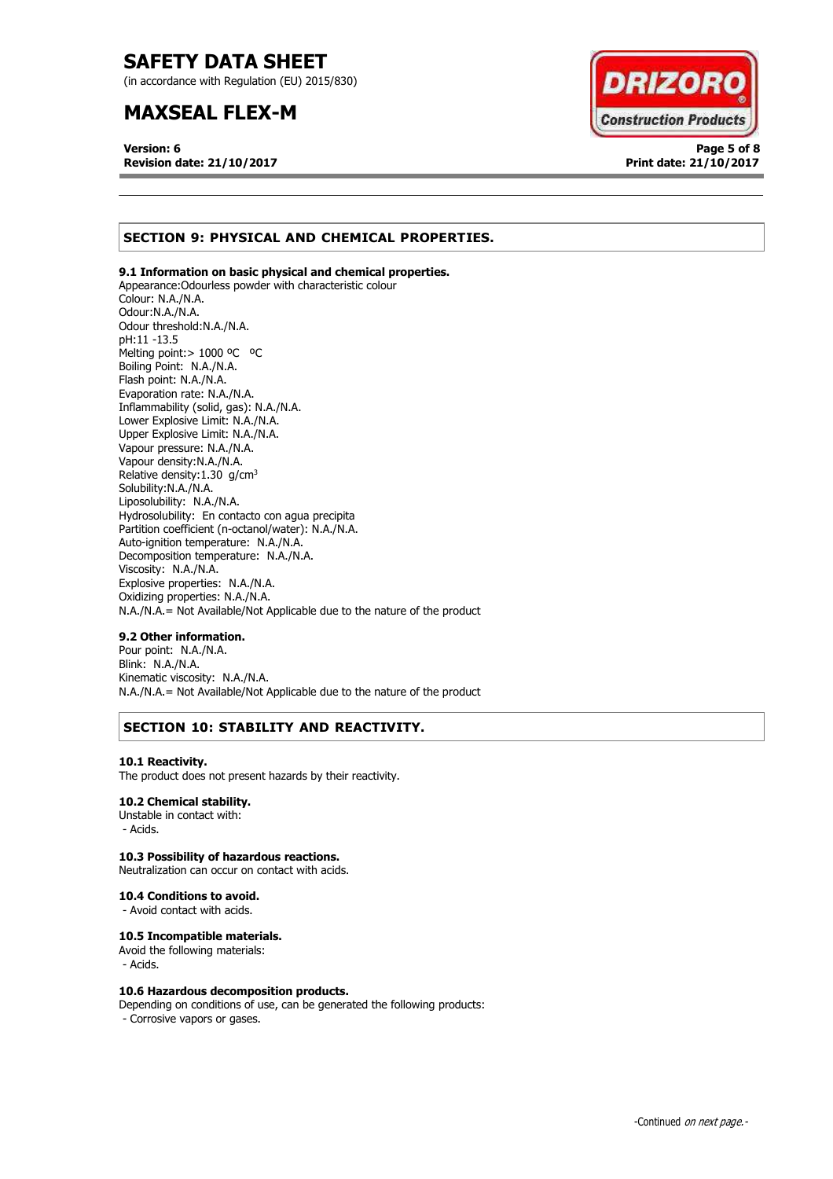(in accordance with Regulation (EU) 2015/830)

# **MAXSEAL FLEX-M**

**Version: 6 Page 5 of 8 Revision date: 21/10/2017 Print date: 21/10/2017**



# **SECTION 9: PHYSICAL AND CHEMICAL PROPERTIES.**

### **9.1 Information on basic physical and chemical properties.**

Appearance:Odourless powder with characteristic colour Colour: N.A./N.A. Odour:N.A./N.A. Odour threshold:N.A./N.A. pH:11 -13.5 Melting point: > 1000 °C °C Boiling Point: N.A./N.A. Flash point: N.A./N.A. Evaporation rate: N.A./N.A. Inflammability (solid, gas): N.A./N.A. Lower Explosive Limit: N.A./N.A. Upper Explosive Limit: N.A./N.A. Vapour pressure: N.A./N.A. Vapour density:N.A./N.A. Relative density:  $1.30$  g/cm<sup>3</sup> Solubility:N.A./N.A. Liposolubility: N.A./N.A. Hydrosolubility: En contacto con agua precipita Partition coefficient (n-octanol/water): N.A./N.A. Auto-ignition temperature: N.A./N.A. Decomposition temperature: N.A./N.A. Viscosity: N.A./N.A. Explosive properties: N.A./N.A. Oxidizing properties: N.A./N.A. N.A./N.A.= Not Available/Not Applicable due to the nature of the product

### **9.2 Other information.**

Pour point: N.A./N.A. Blink: N.A./N.A. Kinematic viscosity: N.A./N.A. N.A./N.A.= Not Available/Not Applicable due to the nature of the product

# **SECTION 10: STABILITY AND REACTIVITY.**

### **10.1 Reactivity.**

The product does not present hazards by their reactivity.

### **10.2 Chemical stability.**

Unstable in contact with: - Acids.

### **10.3 Possibility of hazardous reactions.**

Neutralization can occur on contact with acids.

#### **10.4 Conditions to avoid.**

- Avoid contact with acids.

### **10.5 Incompatible materials.**

Avoid the following materials: - Acids.

### **10.6 Hazardous decomposition products.**

Depending on conditions of use, can be generated the following products: - Corrosive vapors or gases.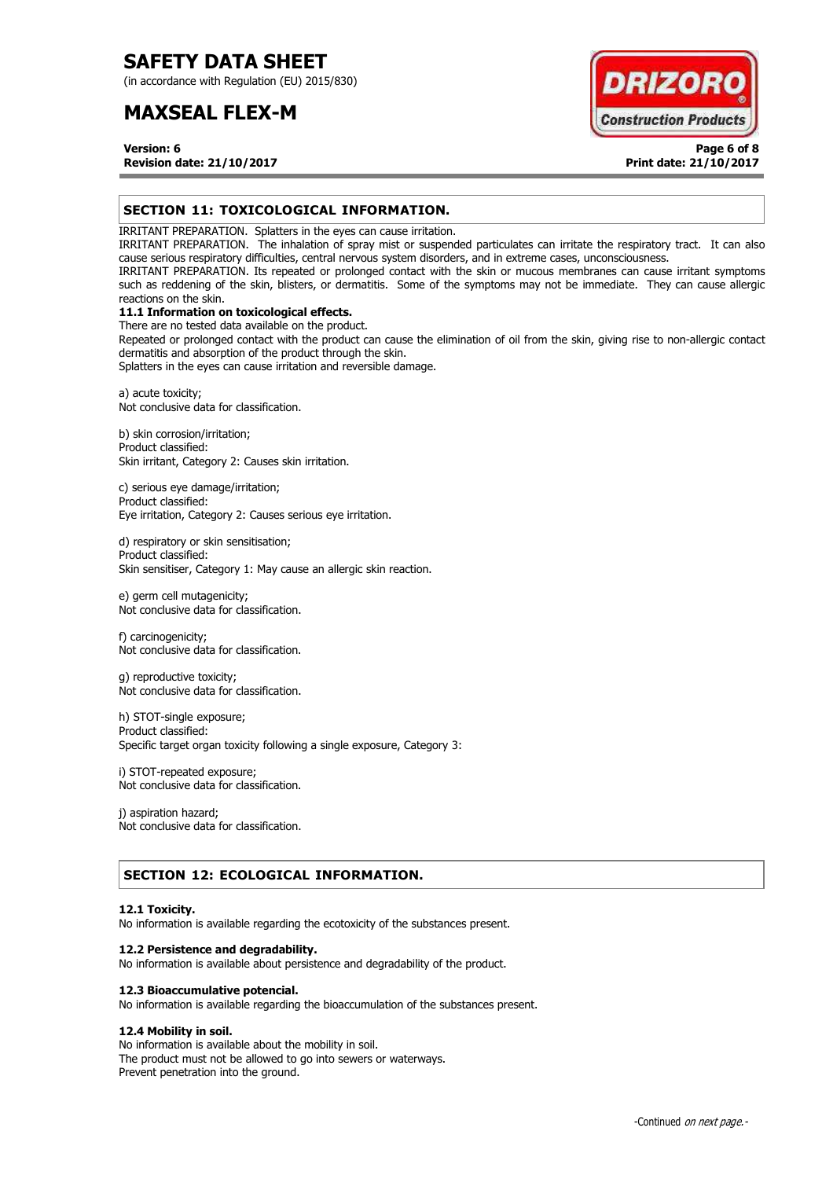(in accordance with Regulation (EU) 2015/830)

# **MAXSEAL FLEX-M**



**Version: 6 Page 6 of 8 Revision date: 21/10/2017 Print date: 21/10/2017**

## **SECTION 11: TOXICOLOGICAL INFORMATION.**

IRRITANT PREPARATION. Splatters in the eyes can cause irritation.

IRRITANT PREPARATION. The inhalation of spray mist or suspended particulates can irritate the respiratory tract. It can also cause serious respiratory difficulties, central nervous system disorders, and in extreme cases, unconsciousness.

IRRITANT PREPARATION. Its repeated or prolonged contact with the skin or mucous membranes can cause irritant symptoms such as reddening of the skin, blisters, or dermatitis. Some of the symptoms may not be immediate. They can cause allergic reactions on the skin.

# **11.1 Information on toxicological effects.**

There are no tested data available on the product. Repeated or prolonged contact with the product can cause the elimination of oil from the skin, giving rise to non-allergic contact dermatitis and absorption of the product through the skin.

Splatters in the eyes can cause irritation and reversible damage.

a) acute toxicity; Not conclusive data for classification.

b) skin corrosion/irritation; Product classified: Skin irritant, Category 2: Causes skin irritation.

c) serious eye damage/irritation; Product classified: Eye irritation, Category 2: Causes serious eye irritation.

d) respiratory or skin sensitisation; Product classified: Skin sensitiser, Category 1: May cause an allergic skin reaction.

e) germ cell mutagenicity; Not conclusive data for classification.

f) carcinogenicity; Not conclusive data for classification.

g) reproductive toxicity; Not conclusive data for classification.

h) STOT-single exposure; Product classified: Specific target organ toxicity following a single exposure, Category 3:

i) STOT-repeated exposure; Not conclusive data for classification.

j) aspiration hazard; Not conclusive data for classification.

# **SECTION 12: ECOLOGICAL INFORMATION.**

### **12.1 Toxicity.**

No information is available regarding the ecotoxicity of the substances present.

### **12.2 Persistence and degradability.**

No information is available about persistence and degradability of the product.

### **12.3 Bioaccumulative potencial.**

No information is available regarding the bioaccumulation of the substances present.

### **12.4 Mobility in soil.**

No information is available about the mobility in soil. The product must not be allowed to go into sewers or waterways. Prevent penetration into the ground.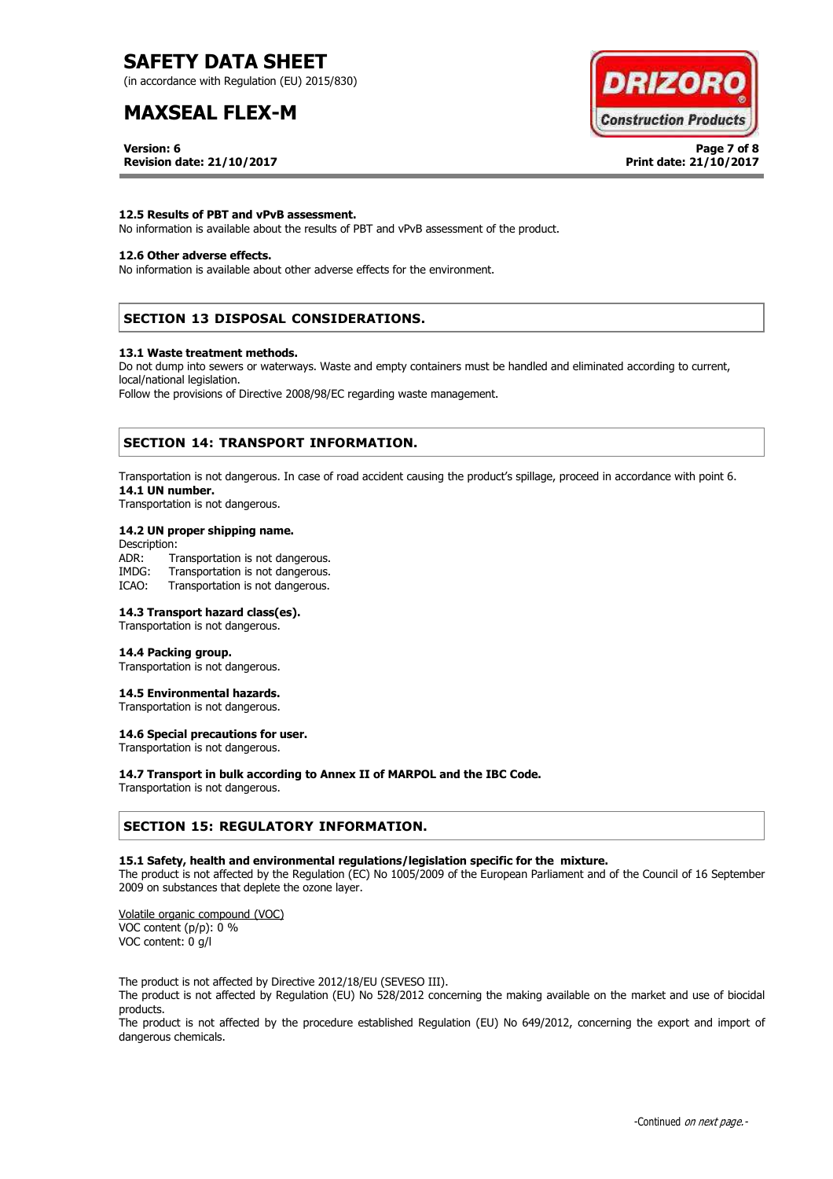(in accordance with Regulation (EU) 2015/830)

# **MAXSEAL FLEX-M**

**DRIZORC Construction Products** 

**Version: 6 Page 7 of 8 Revision date: 21/10/2017 Print date: 21/10/2017**

### **12.5 Results of PBT and vPvB assessment.**

No information is available about the results of PBT and vPvB assessment of the product.

### **12.6 Other adverse effects.**

No information is available about other adverse effects for the environment.

# **SECTION 13 DISPOSAL CONSIDERATIONS.**

#### **13.1 Waste treatment methods.**

Do not dump into sewers or waterways. Waste and empty containers must be handled and eliminated according to current, local/national legislation.

Follow the provisions of Directive 2008/98/EC regarding waste management.

### **SECTION 14: TRANSPORT INFORMATION.**

Transportation is not dangerous. In case of road accident causing the product's spillage, proceed in accordance with point 6. **14.1 UN number.**

Transportation is not dangerous.

### **14.2 UN proper shipping name.**

Description: ADR: Transportation is not dangerous.<br>IMDG: Transportation is not dangerous. Transportation is not dangerous. ICAO: Transportation is not dangerous.

### **14.3 Transport hazard class(es).**

Transportation is not dangerous.

#### **14.4 Packing group.**

Transportation is not dangerous.

### **14.5 Environmental hazards.**

Transportation is not dangerous.

# **14.6 Special precautions for user.**

Transportation is not dangerous.

#### **14.7 Transport in bulk according to Annex II of MARPOL and the IBC Code.**

Transportation is not dangerous.

### **SECTION 15: REGULATORY INFORMATION.**

### **15.1 Safety, health and environmental regulations/legislation specific for the mixture.**

The product is not affected by the Regulation (EC) No 1005/2009 of the European Parliament and of the Council of 16 September 2009 on substances that deplete the ozone layer.

Volatile organic compound (VOC) VOC content (p/p): 0 % VOC content: 0 g/l

The product is not affected by Directive 2012/18/EU (SEVESO III).

The product is not affected by Regulation (EU) No 528/2012 concerning the making available on the market and use of biocidal products.

The product is not affected by the procedure established Regulation (EU) No 649/2012, concerning the export and import of dangerous chemicals.